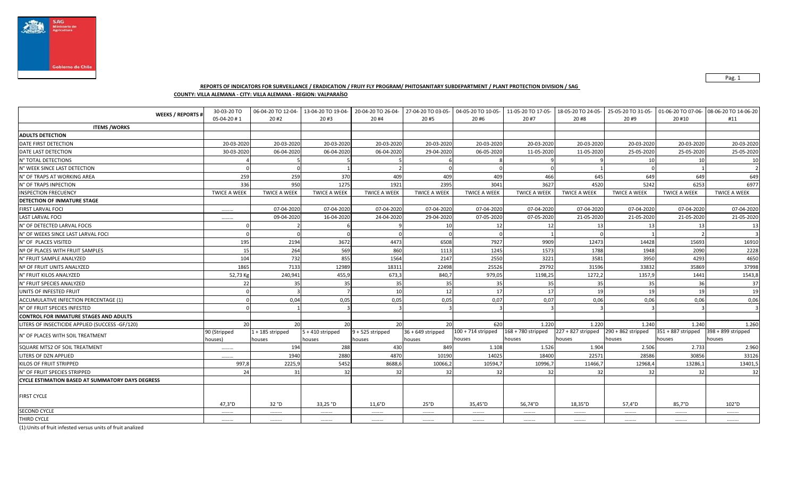

### **REPORTS OF INDICATORS FOR SURVEILLANCE / ERADICATION / FRUIY FLY PROGRAM/ PHITOSANITARY SUBDEPARTMENT / PLANT PROTECTION DIVISION / SAG**

**COUNTY: VILLA ALEMANA - CITY: VILLA ALEMANA - REGION: VALPARAÍSO**

|                                                         | 30-03-20 TO<br><b>WEEKS / REPORTS #</b><br>05-04-20 #1 | 06-04-20 TO 12-04-<br>20#2   | 13-04-20 TO 19-04-<br>20#3   | 20 #4                        | 20-04-20 TO 26-04- 27-04-20 TO 03-05-<br>20#5 | 04-05-20 TO 10-05-<br>20#6     | 11-05-20 TO 17-05-<br>20 #7    | 18-05-20 TO 24-05-<br>20 #8  | 25-05-20 TO 31-05-<br>20 #9    | 20 #10                         | 01-06-20 TO 07-06- 08-06-20 TO 14-06-20<br>#11 |
|---------------------------------------------------------|--------------------------------------------------------|------------------------------|------------------------------|------------------------------|-----------------------------------------------|--------------------------------|--------------------------------|------------------------------|--------------------------------|--------------------------------|------------------------------------------------|
| <b>ITEMS /WORKS</b>                                     |                                                        |                              |                              |                              |                                               |                                |                                |                              |                                |                                |                                                |
| <b>ADULTS DETECTION</b>                                 |                                                        |                              |                              |                              |                                               |                                |                                |                              |                                |                                |                                                |
| DATE FIRST DETECTION                                    | 20-03-2020                                             | 20-03-2020                   | 20-03-2020                   | 20-03-2020                   | 20-03-2020                                    | 20-03-2020                     | 20-03-2020                     | 20-03-2020                   | 20-03-2020                     | 20-03-2020                     | 20-03-2020                                     |
| DATE LAST DETECTION                                     | 30-03-2020                                             | 06-04-2020                   | 06-04-2020                   | 06-04-2020                   | 29-04-2020                                    | 06-05-2020                     | 11-05-2020                     | 11-05-2020                   | 25-05-2020                     | 25-05-2020                     | 25-05-2020                                     |
| N° TOTAL DETECTIONS                                     |                                                        |                              |                              |                              |                                               |                                |                                |                              | 10                             | 10                             | 10                                             |
| N° WEEK SINCE LAST DETECTION                            |                                                        |                              |                              |                              |                                               |                                |                                |                              |                                |                                |                                                |
| N° OF TRAPS AT WORKING AREA                             | 259                                                    | 259                          | 370                          | 409                          | 409                                           | 409                            | 466                            | 645                          | 649                            | 649                            | 649                                            |
| N° OF TRAPS INPECTION                                   | 336                                                    | 950                          | 1275                         | 1921                         | 2395                                          | 3041                           | 3627                           | 4520                         | 5242                           | 6253                           | 6977                                           |
| <b>INSPECTION FRECUENCY</b>                             | <b>TWICE A WEEK</b>                                    | <b>TWICE A WEEK</b>          | <b>TWICE A WEEK</b>          | <b>TWICE A WEEK</b>          | <b>TWICE A WEEK</b>                           | <b>TWICE A WEEK</b>            | <b>TWICE A WEEK</b>            | <b>TWICE A WEEK</b>          | <b>TWICE A WEEK</b>            | <b>TWICE A WEEK</b>            | <b>TWICE A WEEK</b>                            |
| DETECTION OF INMATURE STAGE                             |                                                        |                              |                              |                              |                                               |                                |                                |                              |                                |                                |                                                |
| <b>FIRST LARVAL FOCI</b>                                |                                                        | 07-04-2020                   | 07-04-2020                   | 07-04-2020                   | 07-04-2020                                    | 07-04-2020                     | 07-04-2020                     | 07-04-2020                   | 07-04-2020                     | 07-04-2020                     | 07-04-2020                                     |
| <b>LAST LARVAL FOCI</b>                                 |                                                        | 09-04-2020                   | 16-04-2020                   | 24-04-2020                   | 29-04-2020                                    | 07-05-2020                     | 07-05-2020                     | 21-05-2020                   | 21-05-2020                     | 21-05-2020                     | 21-05-2020                                     |
| N° OF DETECTED LARVAL FOCIS                             |                                                        |                              |                              |                              | 10                                            | 12                             | 12                             | 13                           | -13                            | 13                             | 13                                             |
| N° OF WEEKS SINCE LAST LARVAL FOCI                      |                                                        |                              |                              |                              |                                               |                                |                                |                              |                                |                                |                                                |
| N° OF PLACES VISITED                                    | 195                                                    | 2194                         | 3672                         | 4473                         | 6508                                          | 7927                           | 9909                           | 12473                        | 14428                          | 15693                          | 16910                                          |
| Nº OF PLACES WITH FRUIT SAMPLES                         | 15                                                     | 264                          | 569                          | 860                          | 1113                                          | 1245                           | 1573                           | 1788                         | 1948                           | 2090                           | 2228                                           |
| N° FRUIT SAMPLE ANALYZED                                | 104                                                    | 732                          | 855                          | 1564                         | 2147                                          | 2550                           | 3221                           | 3581                         | 3950                           | 4293                           | 4650                                           |
| Nº OF FRUIT UNITS ANALYZED                              | 1865                                                   | 7133                         | 12989                        | 18311                        | 22498                                         | 25526                          | 29792                          | 31596                        | 33832                          | 35869                          | 37998                                          |
| N° FRUIT KILOS ANALYZED                                 | 52,73 Kg                                               | 240,941                      | 455,9                        | 673,3                        | 840,7                                         | 979,05                         | 1198,25                        | 1272,2                       | 1357,                          | 1441                           | 1543,8                                         |
| N° FRUIT SPECIES ANALYZED                               | 22                                                     | 35                           | 35                           | 35                           | 35                                            | 35                             | 35                             | 35                           | -35                            | 36                             | 37                                             |
| UNITS OF INFESTED FRUIT                                 |                                                        |                              |                              | 10 <sup>1</sup>              | 12                                            | 17                             | 17                             | 19                           | 19                             | 19                             | 19                                             |
| ACCUMULATIVE INFECTION PERCENTAGE (1)                   |                                                        | 0,04                         | 0,05                         | 0,05                         | 0,05                                          | 0,07                           | 0,07                           | 0,06                         | 0,06                           | 0,06                           | 0,06                                           |
| N° OF FRUIT SPECIES INFESTED                            |                                                        |                              |                              |                              |                                               |                                |                                |                              |                                |                                |                                                |
| <b>CONTROL FOR INMATURE STAGES AND ADULTS</b>           |                                                        |                              |                              |                              |                                               |                                |                                |                              |                                |                                |                                                |
| LITERS OF INSECTICIDE APPLIED (SUCCESS -GF/120)         | 20                                                     | 20 <sup>1</sup>              | 20                           | 20                           | 20                                            | 620                            | 1.220                          | 1.220                        | 1.240                          | 1.240                          | 1.260                                          |
| N° OF PLACES WITH SOIL TREATMENT                        | 90 (Stripped<br>houses)                                | $1 + 185$ stripped<br>houses | $5 + 410$ stripped<br>houses | $9 + 525$ stripped<br>houses | $36 + 649$ stripped<br>houses                 | $100 + 714$ stripped<br>houses | $168 + 780$ stripped<br>houses | 227 + 827 stripped<br>houses | $290 + 862$ stripped<br>houses | $351 + 887$ stripped<br>houses | 398 + 899 stripped<br>houses                   |
| SQUARE MTS2 OF SOIL TREATMENT                           |                                                        | 194                          | 288                          | 430                          | 849                                           | 1.108                          | 1.526                          | 1.904                        | 2.506                          | 2.733                          | 2.960                                          |
| LITERS OF DZN APPLIED                                   |                                                        | 1940                         | 2880                         | 4870                         | 10190                                         | 14025                          | 18400                          | 22571                        | 28586                          | 30856                          | 33126                                          |
| KILOS OF FRUIT STRIPPED                                 | 997,8                                                  | 2225,9                       | 5452                         | 8688,6                       | 10066,2                                       | 10594,7                        | 10996,7                        | 11466,7                      | 12968,4                        | 13286,1                        | 13401,5                                        |
| N° OF FRUIT SPECIES STRIPPED                            | 24                                                     | 31                           | 32                           | 32                           | 32                                            | 32                             | 32                             | 32                           | 32                             | 32                             | 32                                             |
| <b>CYCLE ESTIMATION BASED AT SUMMATORY DAYS DEGRESS</b> |                                                        |                              |                              |                              |                                               |                                |                                |                              |                                |                                |                                                |
| <b>FIRST CYCLE</b>                                      |                                                        |                              |                              |                              |                                               |                                |                                |                              |                                |                                |                                                |
|                                                         | $47,3^{\circ}D$                                        | 32°D                         | 33,25 °D                     | 11,6°D                       | 25°D                                          | 35,45°D                        | 56,74°D                        | 18,35°D                      | 57,4°D                         | 85,7°D                         | 102°D                                          |
| SECOND CYCLE                                            |                                                        |                              |                              |                              |                                               |                                |                                |                              |                                |                                |                                                |
| THIRD CYCLE                                             |                                                        |                              |                              |                              |                                               |                                |                                |                              |                                |                                |                                                |

(1):Units of fruit infested versus units of fruit analized

Pag. 1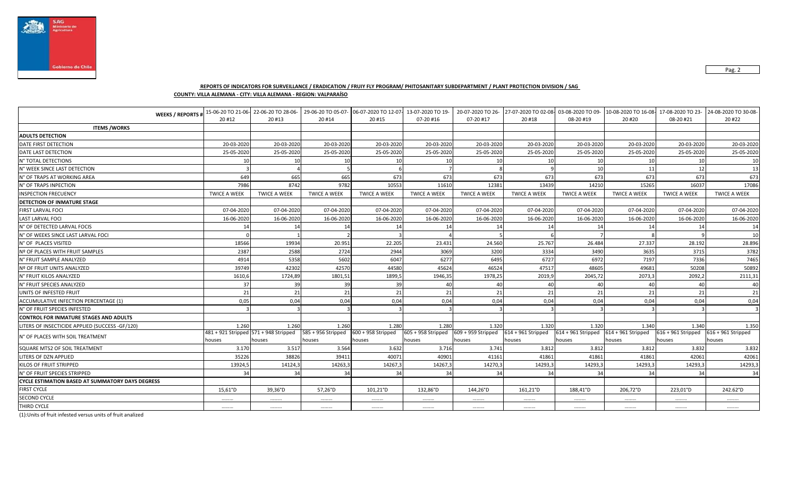

# **REPORTS OF INDICATORS FOR SURVEILLANCE / ERADICATION / FRUIY FLY PROGRAM/ PHITOSANITARY SUBDEPARTMENT / PLANT PROTECTION DIVISION / SAG**

## **COUNTY: VILLA ALEMANA - CITY: VILLA ALEMANA - REGION: VALPARAÍSO**

| <b>WEEKS / REPORTS #</b>                                |                                       | 15-06-20 TO 21-06- 22-06-20 TO 28-06- | 29-06-20 TO 05-07-  | 06-07-2020 TO 12-07- 13-07-2020 TO 19- |                      | 20-07-2020 TO 26-    | 27-07-2020 TO 02-08-03-08-2020 TO 09- |                                           | 10-08-2020 TO 16-08 17-08-2020 TO 23- |                      | 24-08-2020 TO 30-08- |
|---------------------------------------------------------|---------------------------------------|---------------------------------------|---------------------|----------------------------------------|----------------------|----------------------|---------------------------------------|-------------------------------------------|---------------------------------------|----------------------|----------------------|
|                                                         | 20 #12                                | 20#13                                 | 20 #14              | 20#15                                  | 07-20 #16            | 07-20 #17            | 20 #18                                | 08-20 #19                                 | 20 #20                                | 08-20 #21            | 20 #22               |
| <b>ITEMS /WORKS</b>                                     |                                       |                                       |                     |                                        |                      |                      |                                       |                                           |                                       |                      |                      |
| <b>ADULTS DETECTION</b>                                 |                                       |                                       |                     |                                        |                      |                      |                                       |                                           |                                       |                      |                      |
| DATE FIRST DETECTION                                    | 20-03-2020                            | 20-03-2020                            | 20-03-2020          | 20-03-2020                             | 20-03-2020           | 20-03-2020           | 20-03-2020                            | 20-03-2020                                | 20-03-2020                            | 20-03-2020           | 20-03-2020           |
| DATE LAST DETECTION                                     | 25-05-2020                            | 25-05-2020                            | 25-05-2020          | 25-05-2020                             | 25-05-2020           | 25-05-2020           | 25-05-2020                            | 25-05-2020                                | 25-05-2020                            | 25-05-2020           | 25-05-2020           |
| N° TOTAL DETECTIONS                                     | 10                                    | 10                                    | 1 <sup>1</sup>      | 10                                     | 10                   | 10                   | 10                                    | 10                                        | 1(                                    | 10                   | 10                   |
| N° WEEK SINCE LAST DETECTION                            |                                       |                                       |                     |                                        |                      |                      |                                       | 10                                        | 11                                    | 12                   | 13                   |
| N° OF TRAPS AT WORKING AREA                             | 649                                   | 665                                   | 665                 | 673                                    | 673                  | 673                  | 673                                   | 673                                       | 673                                   | 673                  | 673                  |
| N° OF TRAPS INPECTION                                   | 7986                                  | 8742                                  | 9782                | 10553                                  | 11610                | 12381                | 13439                                 | 14210                                     | 15265                                 | 16037                | 17086                |
| <b>INSPECTION FRECUENCY</b>                             | <b>TWICE A WEEK</b>                   | <b>TWICE A WEEK</b>                   | <b>TWICE A WEEK</b> | <b>TWICE A WEEK</b>                    | <b>TWICE A WEEK</b>  | <b>TWICE A WEEK</b>  | <b>TWICE A WEEK</b>                   | <b>TWICE A WEEK</b>                       | <b>TWICE A WEEK</b>                   | <b>TWICE A WEEK</b>  | <b>TWICE A WEEK</b>  |
| DETECTION OF INMATURE STAGE                             |                                       |                                       |                     |                                        |                      |                      |                                       |                                           |                                       |                      |                      |
| <b>FIRST LARVAL FOCI</b>                                | 07-04-2020                            | 07-04-2020                            | 07-04-2020          | 07-04-2020                             | 07-04-2020           | 07-04-2020           | 07-04-2020                            | 07-04-2020                                | 07-04-2020                            | 07-04-2020           | 07-04-2020           |
| <b>LAST LARVAL FOCI</b>                                 | 16-06-2020                            | 16-06-2020                            | 16-06-2020          | 16-06-2020                             | 16-06-2020           | 16-06-2020           | 16-06-2020                            | 16-06-2020                                | 16-06-2020                            | 16-06-2020           | 16-06-2020           |
| N° OF DETECTED LARVAL FOCIS                             | 14                                    | 14                                    | 14                  | 14                                     | 14                   | 14                   | 14                                    | 14                                        | 14                                    | 14                   | 14                   |
| N° OF WEEKS SINCE LAST LARVAL FOCI                      |                                       |                                       |                     |                                        |                      |                      |                                       |                                           |                                       |                      | 10                   |
| N° OF PLACES VISITED                                    | 18566                                 | 19934                                 | 20.951              | 22.205                                 | 23.431               | 24.560               | 25.767                                | 26.484                                    | 27.337                                | 28.192               | 28.896               |
| Nº OF PLACES WITH FRUIT SAMPLES                         | 2387                                  | 2588                                  | 2724                | 2944                                   | 3069                 | 3200                 | 3334                                  | 3490                                      | 3635                                  | 3715                 | 3782                 |
| N° FRUIT SAMPLE ANALYZED                                | 4914                                  | 5358                                  | 5602                | 6047                                   | 6277                 | 6495                 | 6727                                  | 6972                                      | 7197                                  | 7336                 | 7465                 |
| Nº OF FRUIT UNITS ANALYZED                              | 39749                                 | 42302                                 | 42570               | 44580                                  | 45624                | 46524                | 47517                                 | 48605                                     | 49681                                 | 50208                | 50892                |
| N° FRUIT KILOS ANALYZED                                 | 1610,6                                | 1724,89                               | 1801,51             | 1899,5                                 | 1946,35              | 1978,25              | 2019,9                                | 2045,72                                   | 2073,3                                | 2092,2               | 2111,31              |
| N° FRUIT SPECIES ANALYZED                               | 37                                    | 39                                    | 39                  | 39                                     | $\Delta$ r           | 40                   | 40                                    | 40                                        | $\Delta$                              | 40                   | 40                   |
| UNITS OF INFESTED FRUIT                                 | 21                                    | 21                                    | 21                  | 21                                     | 21                   | 21                   | 21                                    | 21                                        | 21                                    | 21                   | 21                   |
| ACCUMULATIVE INFECTION PERCENTAGE (1)                   | 0,05                                  | 0,04                                  | 0,04                | 0,04                                   | 0,04                 | 0,04                 | 0,04                                  | 0,04                                      | 0,04                                  | 0,04                 | 0,04                 |
| N° OF FRUIT SPECIES INFESTED                            |                                       |                                       |                     |                                        |                      |                      |                                       |                                           |                                       |                      |                      |
| <b>CONTROL FOR INMATURE STAGES AND ADULTS</b>           |                                       |                                       |                     |                                        |                      |                      |                                       |                                           |                                       |                      |                      |
| LITERS OF INSECTICIDE APPLIED (SUCCESS -GF/120)         | 1.260                                 | 1.260                                 | 1.260               | 1.280                                  | 1.280                | 1.320                | 1.320                                 | 1.320                                     | 1.340                                 | 1.340                | 1.350                |
| N° OF PLACES WITH SOIL TREATMENT                        | 481 + 921 Stripped 571 + 948 Stripped |                                       | 585 + 956 Stripped  | $600 + 958$ Stripped                   | $605 + 958$ Stripped | $609 + 959$ Stripped | 614 + 961 Stripped                    | $614 + 961$ Stripped $614 + 961$ Stripped |                                       | $616 + 961$ Stripped | $616 + 961$ Stripped |
|                                                         | houses                                | houses                                | houses              | houses                                 | houses               | houses               | houses                                | houses                                    | houses                                | houses               | houses               |
| SQUARE MTS2 OF SOIL TREATMENT                           | 3.170                                 | 3.517                                 | 3.564               | 3.632                                  | 3.716                | 3.741                | 3.812                                 | 3.812                                     | 3.812                                 | 3.832                | 3.832                |
| LITERS OF DZN APPLIED                                   | 35226                                 | 38826                                 | 39411               | 40071                                  | 40901                | 41161                | 41861                                 | 41861                                     | 41861                                 | 42061                | 42061                |
| <b>KILOS OF FRUIT STRIPPED</b>                          | 13924,5                               | 14124,3                               | 14263,3             | 14267,                                 | 14267,3              | 14270,3              | 14293,3                               | 14293,3                                   | 14293,3                               | 14293,3              | 14293,3              |
| N° OF FRUIT SPECIES STRIPPED                            | 34                                    | 34                                    | 34                  | 34                                     | 34                   | 34                   | 34                                    | 34                                        | 34                                    | 34                   | 34                   |
| <b>CYCLE ESTIMATION BASED AT SUMMATORY DAYS DEGRESS</b> |                                       |                                       |                     |                                        |                      |                      |                                       |                                           |                                       |                      |                      |
| <b>FIRST CYCLE</b>                                      | 15,61°D                               | 39,36°D                               | 57,26°D             | $101,21^{\circ}D$                      | 132,86°D             | 144,26°D             | 161,21°D                              | 188,41°D                                  | 206,72°D                              | 223,01°D             | 242.62°D             |
| <b>SECOND CYCLE</b>                                     |                                       |                                       |                     |                                        |                      |                      |                                       |                                           |                                       |                      |                      |
| THIRD CYCLE                                             |                                       |                                       |                     |                                        |                      |                      |                                       |                                           |                                       |                      |                      |

(1):Units of fruit infested versus units of fruit analized

Pag. 2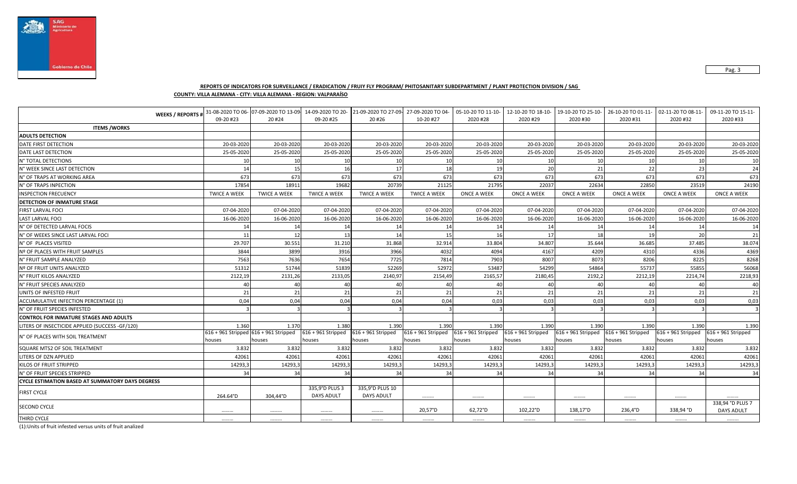

Pag. 3

## **REPORTS OF INDICATORS FOR SURVEILLANCE / ERADICATION / FRUIY FLY PROGRAM/ PHITOSANITARY SUBDEPARTMENT / PLANT PROTECTION DIVISION / SAG**

**COUNTY: VILLA ALEMANA - CITY: VILLA ALEMANA - REGION: VALPARAÍSO**

| <b>WEEKS / REPORTS #</b>                                |                     | 31-08-2020 TO 06- 07-09-2020 TO 13-09- 14-09-2020 TO 20- |                                     | 21-09-2020 TO 27-09-                 | 27-09-2020 TO 04-                         | 05-10-20 TO 11-10- | 12-10-20 TO 18-10-   | 19-10-20 TO 25-10-                        | 26-10-20 TO 01-11- | 02-11-20 TO 08-11-                        | 09-11-20 TO 15-11-                    |
|---------------------------------------------------------|---------------------|----------------------------------------------------------|-------------------------------------|--------------------------------------|-------------------------------------------|--------------------|----------------------|-------------------------------------------|--------------------|-------------------------------------------|---------------------------------------|
|                                                         | 09-20 #23           | 20 #24                                                   | 09-20 #25                           | 20 #26                               | 10-20 #27                                 | 2020 #28           | 2020 #29             | 2020 #30                                  | 2020 #31           | 2020 #32                                  | 2020 #33                              |
| <b>ITEMS /WORKS</b>                                     |                     |                                                          |                                     |                                      |                                           |                    |                      |                                           |                    |                                           |                                       |
| <b>ADULTS DETECTION</b>                                 |                     |                                                          |                                     |                                      |                                           |                    |                      |                                           |                    |                                           |                                       |
| DATE FIRST DETECTION                                    | 20-03-2020          | 20-03-2020                                               | 20-03-2020                          | 20-03-2020                           | 20-03-2020                                | 20-03-2020         | 20-03-2020           | 20-03-2020                                | 20-03-2020         | 20-03-2020                                | 20-03-2020                            |
| DATE LAST DETECTION                                     | 25-05-2020          | 25-05-2020                                               | 25-05-2020                          | 25-05-2020                           | 25-05-2020                                | 25-05-2020         | 25-05-2020           | 25-05-2020                                | 25-05-2020         | 25-05-2020                                | 25-05-2020                            |
| N° TOTAL DETECTIONS                                     | 10                  | 10                                                       | 10 <sup>1</sup>                     | 10                                   | 10                                        | 10                 | 10                   | 10                                        | 10                 | 10                                        | 10                                    |
| N° WEEK SINCE LAST DETECTION                            | 14                  | 15                                                       | 16                                  | 17                                   | 18                                        | 19                 | 20                   | 21                                        | 22                 | 23                                        | 24                                    |
| N° OF TRAPS AT WORKING AREA                             | 673                 | 673                                                      | 673                                 | 673                                  | 673                                       | 673                | 673                  | 673                                       | 673                | 673                                       | 673                                   |
| N° OF TRAPS INPECTION                                   | 17854               | 18911                                                    | 19682                               | 20739                                | 21125                                     | 21795              | 22037                | 22634                                     | 22850              | 23519                                     | 24190                                 |
| <b>INSPECTION FRECUENCY</b>                             | <b>TWICE A WEEK</b> | <b>TWICE A WEEK</b>                                      | <b>TWICE A WEEK</b>                 | <b>TWICE A WEEK</b>                  | <b>TWICE A WEEK</b>                       | ONCE A WEEK        | <b>ONCE A WEEK</b>   | <b>ONCE A WEEK</b>                        | ONCE A WEEK        | <b>ONCE A WEEK</b>                        | ONCE A WEEK                           |
| DETECTION OF INMATURE STAGE                             |                     |                                                          |                                     |                                      |                                           |                    |                      |                                           |                    |                                           |                                       |
| <b>FIRST LARVAL FOCI</b>                                | 07-04-2020          | 07-04-2020                                               | 07-04-2020                          | 07-04-2020                           | 07-04-2020                                | 07-04-2020         | 07-04-2020           | 07-04-2020                                | 07-04-2020         | 07-04-2020                                | 07-04-2020                            |
| <b>LAST LARVAL FOCI</b>                                 | 16-06-2020          | 16-06-2020                                               | 16-06-2020                          | 16-06-2020                           | 16-06-2020                                | 16-06-2020         | 16-06-2020           | 16-06-2020                                | 16-06-2020         | 16-06-2020                                | 16-06-2020                            |
| N° OF DETECTED LARVAL FOCIS                             | 14                  | 14                                                       | 14                                  | 14                                   | 14                                        | 14                 | 14                   | 14                                        | 14                 | 14                                        | 14                                    |
| N° OF WEEKS SINCE LAST LARVAL FOCI                      | 11                  | 12                                                       | 13                                  | 14                                   | 15                                        | 16                 | 17                   | 18                                        | 19                 | 20                                        | 21                                    |
| N° OF PLACES VISITED                                    | 29.707              | 30.551                                                   | 31.210                              | 31.868                               | 32.914                                    | 33.804             | 34.807               | 35.644                                    | 36.685             | 37.485                                    | 38.074                                |
| Nº OF PLACES WITH FRUIT SAMPLES                         | 3844                | 3899                                                     | 3916                                | 3966                                 | 4032                                      | 4094               | 4167                 | 4209                                      | 4310               | 4336                                      | 4369                                  |
| N° FRUIT SAMPLE ANALYZED                                | 7563                | 7636                                                     | 7654                                | 7725                                 | 7814                                      | 7903               | 8007                 | 8073                                      | 8206               | 8225                                      | 8268                                  |
| Nº OF FRUIT UNITS ANALYZED                              | 51312               | 51744                                                    | 51839                               | 52269                                | 52972                                     | 53487              | 54299                | 54864                                     | 55737              | 55855                                     | 56068                                 |
| N° FRUIT KILOS ANALYZED                                 | 2122,19             | 2131,26                                                  | 2133,05                             | 2140,97                              | 2154,49                                   | 2165,57            | 2180,45              | 2192,2                                    | 2212,19            | 2214,74                                   | 2218,93                               |
| N° FRUIT SPECIES ANALYZED                               | 40                  | 40                                                       | 40                                  | 40                                   | 40                                        | 40                 | 40                   | 40                                        | 40                 | 40                                        | 40                                    |
| UNITS OF INFESTED FRUIT                                 | 21                  | 21                                                       | 21                                  | 21                                   | 21                                        | 21                 | 21                   | 21                                        | 21                 | 21                                        | 21                                    |
| ACCUMULATIVE INFECTION PERCENTAGE (1)                   | 0,04                | 0,04                                                     | 0,04                                | 0,04                                 | 0,04                                      | 0,03               | 0,03                 | 0,03                                      | 0,03               | 0,03                                      | 0,03                                  |
| N° OF FRUIT SPECIES INFESTED                            |                     |                                                          |                                     |                                      |                                           |                    |                      |                                           |                    |                                           |                                       |
| <b>CONTROL FOR INMATURE STAGES AND ADULTS</b>           |                     |                                                          |                                     |                                      |                                           |                    |                      |                                           |                    |                                           |                                       |
| LITERS OF INSECTICIDE APPLIED (SUCCESS -GF/120)         | 1.360               | 1.370                                                    | 1.380                               | 1.390                                | 1.390                                     | 1.390              | 1.390                | 1.390                                     | 1.390              | 1.390                                     | 1.390                                 |
| N° OF PLACES WITH SOIL TREATMENT                        |                     | 616 + 961 Stripped 616 + 961 Stripped                    | $616 + 961$ Stripped                | $616 + 961$ Stripped                 | $616 + 961$ Stripped $616 + 961$ Stripped |                    | $616 + 961$ Stripped | $616 + 961$ Stripped $616 + 961$ Stripped |                    | $616 + 961$ Stripped $616 + 961$ Stripped |                                       |
|                                                         | houses              | houses                                                   | houses                              | houses                               | houses                                    | houses             | houses               | houses                                    | houses             | houses                                    | houses                                |
| SQUARE MTS2 OF SOIL TREATMENT                           | 3.832               | 3.832                                                    | 3.832                               | 3.832                                | 3.832                                     | 3.832              | 3.832                | 3.832                                     | 3.832              | 3.832                                     | 3.832                                 |
| LITERS OF DZN APPLIED                                   | 42061               | 42061                                                    | 42061                               | 42061                                | 42061                                     | 42061              | 42061                | 42061                                     | 42061              | 42061                                     | 42061                                 |
| KILOS OF FRUIT STRIPPED                                 | 14293,3             | 14293,3                                                  | 14293,3                             | 14293,                               | 14293,3                                   | 14293,3            | 14293,3              | 14293,3                                   | 14293,             | 14293,3                                   | 14293,3                               |
| N° OF FRUIT SPECIES STRIPPED                            | 34                  | 34                                                       | 34                                  | 34                                   | 34                                        | 34                 | 34                   | 34                                        | 34                 | 34                                        | 34                                    |
| <b>CYCLE ESTIMATION BASED AT SUMMATORY DAYS DEGRESS</b> |                     |                                                          |                                     |                                      |                                           |                    |                      |                                           |                    |                                           |                                       |
| <b>FIRST CYCLE</b>                                      | 264.64°D            | 304,44°D                                                 | 335,9°D PLUS 3<br><b>DAYS ADULT</b> | 335,9°D PLUS 10<br><b>DAYS ADULT</b> |                                           |                    |                      |                                           |                    |                                           |                                       |
| SECOND CYCLE                                            |                     |                                                          |                                     |                                      | 20,57°D                                   | 62,72°D            | 102,22°D             | 138,17°D                                  | 236,4°D            | 338,94 °D                                 | 338,94 °D PLUS 7<br><b>DAYS ADULT</b> |
| THIRD CYCLE                                             |                     | .                                                        |                                     |                                      |                                           |                    |                      |                                           |                    |                                           |                                       |

(1):Units of fruit infested versus units of fruit analized